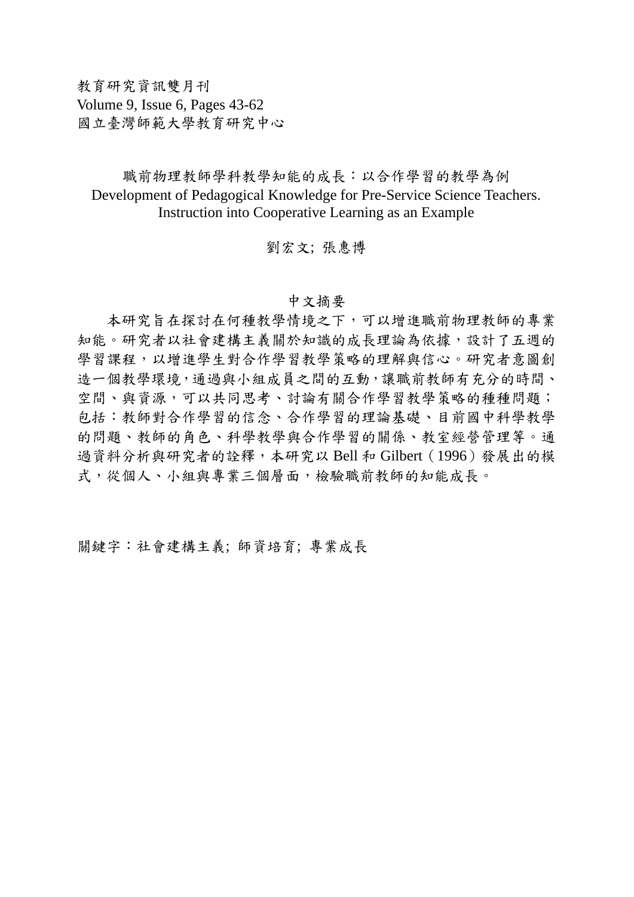教育研究資訊雙月刊 Volume 9, Issue 6, Pages 43-62 國立臺灣師範大學教育研究中心

## 職前物理教師學科教學知能的成長:以合作學習的教學為例 Development of Pedagogical Knowledge for Pre-Service Science Teachers. Instruction into Cooperative Learning as an Example

## 劉宏文; 張惠博

## 中文摘要

 本研究旨在探討在何種教學情境之下,可以增進職前物理教師的專業 知能。研究者以社會建構主義關於知識的成長理論為依據,設計了五週的 學習課程,以增進學生對合作學習教學策略的理解與信心。研究者意圖創 造一個教學環境,通過與小組成員之間的互動,讓職前教師有充分的時間、 空間、與資源,可以共同思考、討論有關合作學習教學策略的種種問題; 包括:教師對合作學習的信念、合作學習的理論基礎、目前國中科學教學 的問題、教師的角色、科學教學與合作學習的關係、教室經營管理等。通 過資料分析與研究者的詮釋,本研究以 Bell 和 Gilbert(1996)發展出的模 式,從個人、小組與專業三個層面,檢驗職前教師的知能成長。

關鍵字:社會建構主義; 師資培育; 專業成長